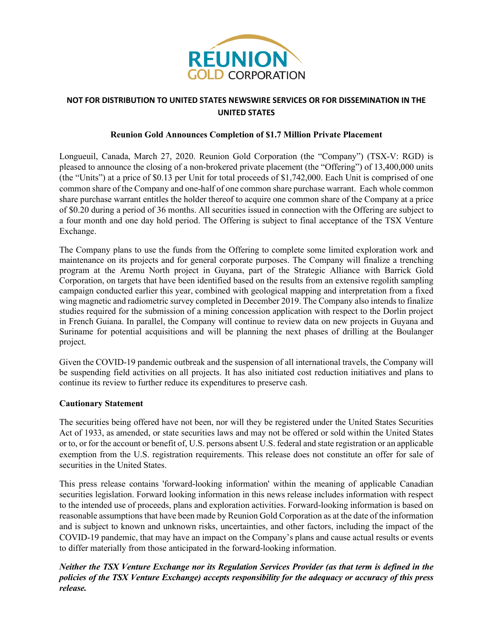

## **NOT FOR DISTRIBUTION TO UNITED STATES NEWSWIRE SERVICES OR FOR DISSEMINATION IN THE UNITED STATES**

## **Reunion Gold Announces Completion of \$1.7 Million Private Placement**

Longueuil, Canada, March 27, 2020. Reunion Gold Corporation (the "Company") (TSX-V: RGD) is pleased to announce the closing of a non-brokered private placement (the "Offering") of 13,400,000 units (the "Units") at a price of \$0.13 per Unit for total proceeds of \$1,742,000. Each Unit is comprised of one common share of the Company and one-half of one common share purchase warrant. Each whole common share purchase warrant entitles the holder thereof to acquire one common share of the Company at a price of \$0.20 during a period of 36 months. All securities issued in connection with the Offering are subject to a four month and one day hold period. The Offering is subject to final acceptance of the TSX Venture Exchange.

The Company plans to use the funds from the Offering to complete some limited exploration work and maintenance on its projects and for general corporate purposes. The Company will finalize a trenching program at the Aremu North project in Guyana, part of the Strategic Alliance with Barrick Gold Corporation, on targets that have been identified based on the results from an extensive regolith sampling campaign conducted earlier this year, combined with geological mapping and interpretation from a fixed wing magnetic and radiometric survey completed in December 2019. The Company also intends to finalize studies required for the submission of a mining concession application with respect to the Dorlin project in French Guiana. In parallel, the Company will continue to review data on new projects in Guyana and Suriname for potential acquisitions and will be planning the next phases of drilling at the Boulanger project.

Given the COVID-19 pandemic outbreak and the suspension of all international travels, the Company will be suspending field activities on all projects. It has also initiated cost reduction initiatives and plans to continue its review to further reduce its expenditures to preserve cash.

#### **Cautionary Statement**

The securities being offered have not been, nor will they be registered under the United States Securities Act of 1933, as amended, or state securities laws and may not be offered or sold within the United States or to, or for the account or benefit of, U.S. persons absent U.S. federal and state registration or an applicable exemption from the U.S. registration requirements. This release does not constitute an offer for sale of securities in the United States.

This press release contains 'forward-looking information' within the meaning of applicable Canadian securities legislation. Forward looking information in this news release includes information with respect to the intended use of proceeds, plans and exploration activities. Forward-looking information is based on reasonable assumptions that have been made by Reunion Gold Corporation as at the date of the information and is subject to known and unknown risks, uncertainties, and other factors, including the impact of the COVID-19 pandemic, that may have an impact on the Company's plans and cause actual results or events to differ materially from those anticipated in the forward-looking information.

# *Neither the TSX Venture Exchange nor its Regulation Services Provider (as that term is defined in the policies of the TSX Venture Exchange) accepts responsibility for the adequacy or accuracy of this press release.*